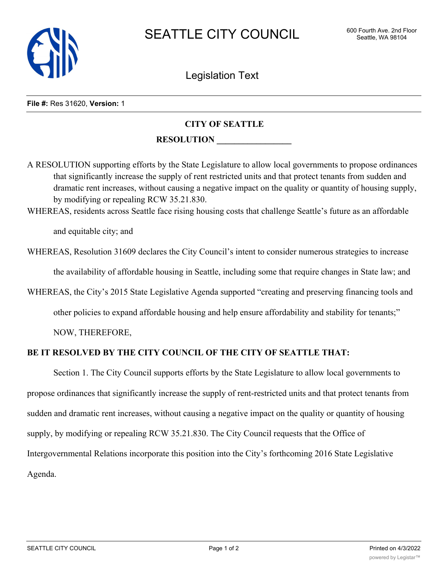

Legislation Text

## **File #:** Res 31620, **Version:** 1

## **CITY OF SEATTLE**

## **RESOLUTION \_\_\_\_\_\_\_\_\_\_\_\_\_\_\_\_\_**

A RESOLUTION supporting efforts by the State Legislature to allow local governments to propose ordinances that significantly increase the supply of rent restricted units and that protect tenants from sudden and dramatic rent increases, without causing a negative impact on the quality or quantity of housing supply, by modifying or repealing RCW 35.21.830.

WHEREAS, residents across Seattle face rising housing costs that challenge Seattle's future as an affordable

and equitable city; and

WHEREAS, Resolution 31609 declares the City Council's intent to consider numerous strategies to increase the availability of affordable housing in Seattle, including some that require changes in State law; and

WHEREAS, the City's 2015 State Legislative Agenda supported "creating and preserving financing tools and

other policies to expand affordable housing and help ensure affordability and stability for tenants;"

NOW, THEREFORE,

## **BE IT RESOLVED BY THE CITY COUNCIL OF THE CITY OF SEATTLE THAT:**

Section 1. The City Council supports efforts by the State Legislature to allow local governments to propose ordinances that significantly increase the supply of rent-restricted units and that protect tenants from sudden and dramatic rent increases, without causing a negative impact on the quality or quantity of housing supply, by modifying or repealing RCW 35.21.830. The City Council requests that the Office of Intergovernmental Relations incorporate this position into the City's forthcoming 2016 State Legislative Agenda.